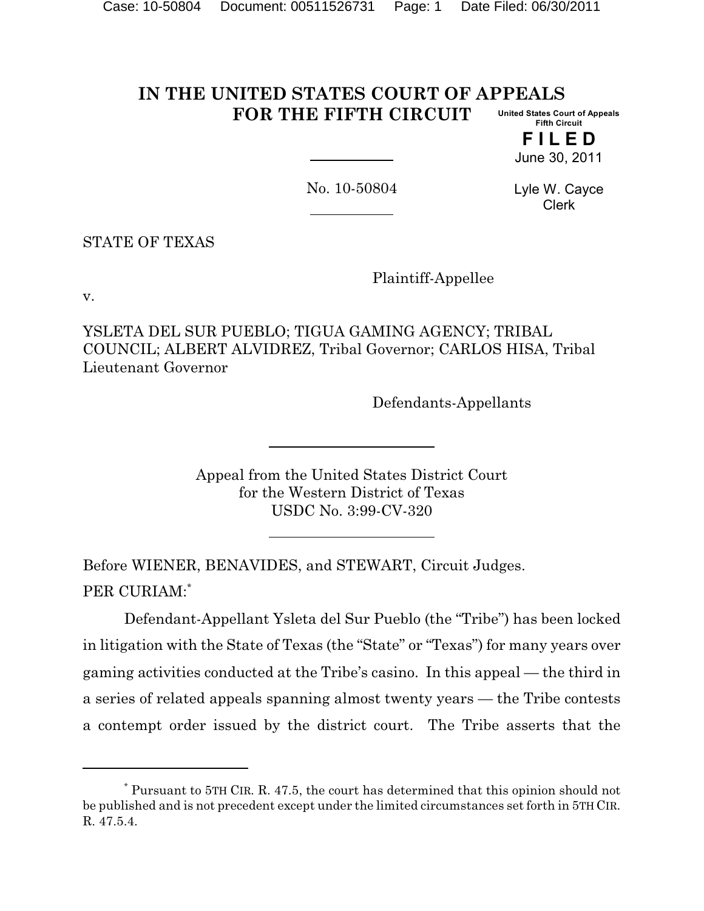#### **IN THE UNITED STATES COURT OF APPEALS FOR THE FIFTH CIRCUIT United States Court of Appeals Fifth Circuit**

**F I L E D** June 30, 2011

No. 10-50804

Lyle W. Cayce Clerk

STATE OF TEXAS

Plaintiff-Appellee

v.

YSLETA DEL SUR PUEBLO; TIGUA GAMING AGENCY; TRIBAL COUNCIL; ALBERT ALVIDREZ, Tribal Governor; CARLOS HISA, Tribal Lieutenant Governor

Defendants-Appellants

Appeal from the United States District Court for the Western District of Texas USDC No. 3:99-CV-320

Before WIENER, BENAVIDES, and STEWART, Circuit Judges. PER CURIAM:\*

Defendant-Appellant Ysleta del Sur Pueblo (the "Tribe") has been locked in litigation with the State of Texas (the "State" or "Texas") for many years over gaming activities conducted at the Tribe's casino. In this appeal — the third in a series of related appeals spanning almost twenty years — the Tribe contests a contempt order issued by the district court. The Tribe asserts that the

Pursuant to 5TH CIR. R. 47.5, the court has determined that this opinion should not \* be published and is not precedent except under the limited circumstances set forth in 5TH CIR. R. 47.5.4.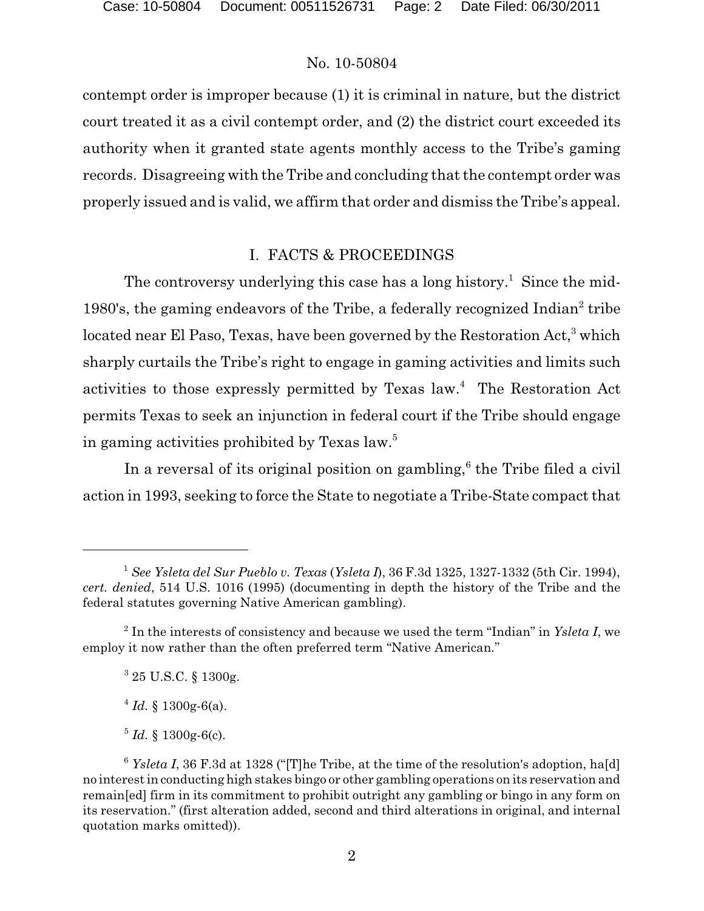contempt order is improper because (1) it is criminal in nature, but the district court treated it as a civil contempt order, and (2) the district court exceeded its authority when it granted state agents monthly access to the Tribe's gaming records. Disagreeing with the Tribe and concluding that the contempt order was properly issued and is valid, we affirm that order and dismiss the Tribe's appeal.

# I. FACTS & PROCEEDINGS

The controversy underlying this case has a long history.<sup>1</sup> Since the mid-1980's, the gaming endeavors of the Tribe, a federally recognized  $Indian<sup>2</sup>$  tribe located near El Paso, Texas, have been governed by the Restoration Act,<sup>3</sup> which sharply curtails the Tribe's right to engage in gaming activities and limits such activities to those expressly permitted by Texas  $law<sup>4</sup>$ . The Restoration Act permits Texas to seek an injunction in federal court if the Tribe should engage in gaming activities prohibited by Texas law.<sup>5</sup>

In a reversal of its original position on gambling,<sup> $6$ </sup> the Tribe filed a civil action in 1993, seeking to force the State to negotiate a Tribe-State compact that

*See Ysleta del Sur Pueblo v. Texas* (*Ysleta I*), 36 F.3d 1325, 1327-1332 (5th Cir. 1994), 1 *cert. denied*, 514 U.S. 1016 (1995) (documenting in depth the history of the Tribe and the federal statutes governing Native American gambling).

 $1$ <sup>2</sup> In the interests of consistency and because we used the term "Indian" in *Ysleta I*, we employ it now rather than the often preferred term "Native American."

 $325$  U.S.C. § 1300g.

 $^{4}$  *Id.* § 1300g-6(a).

 $^{5}$  *Id.* § 1300g-6(c).

 $6$  *Ysleta I*, 36 F.3d at 1328 ("[T]he Tribe, at the time of the resolution's adoption, ha[d] no interest in conducting high stakes bingo or other gambling operations on its reservation and remain[ed] firm in its commitment to prohibit outright any gambling or bingo in any form on its reservation." (first alteration added, second and third alterations in original, and internal quotation marks omitted)).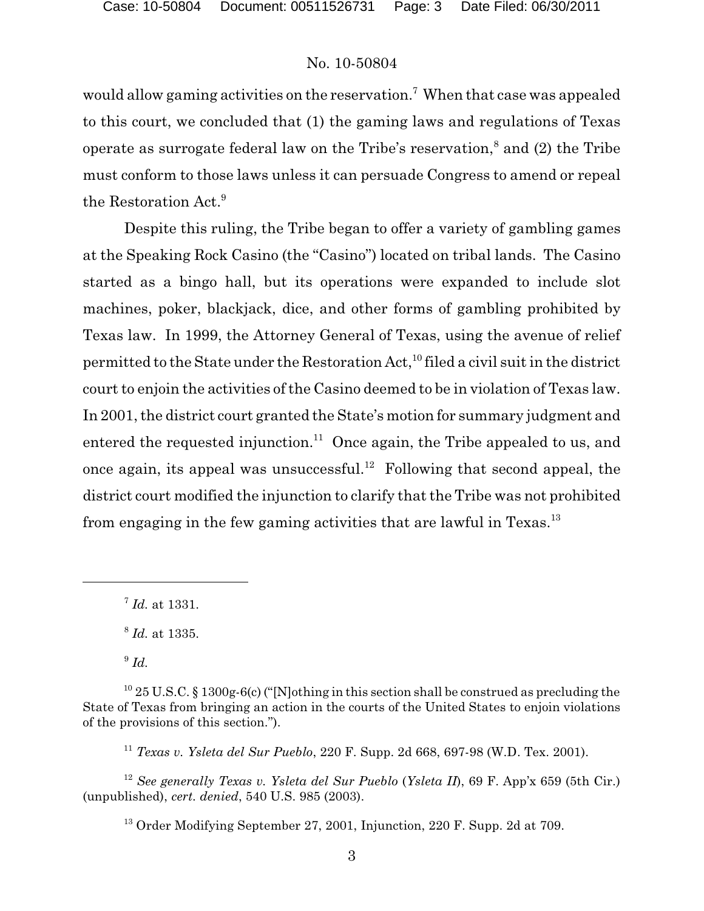would allow gaming activities on the reservation.<sup>7</sup> When that case was appealed to this court, we concluded that (1) the gaming laws and regulations of Texas operate as surrogate federal law on the Tribe's reservation,<sup>8</sup> and (2) the Tribe must conform to those laws unless it can persuade Congress to amend or repeal the Restoration Act.<sup>9</sup>

Despite this ruling, the Tribe began to offer a variety of gambling games at the Speaking Rock Casino (the "Casino") located on tribal lands. The Casino started as a bingo hall, but its operations were expanded to include slot machines, poker, blackjack, dice, and other forms of gambling prohibited by Texas law. In 1999, the Attorney General of Texas, using the avenue of relief permitted to the State under the Restoration Act,  $^{10}$  filed a civil suit in the district court to enjoin the activities of the Casino deemed to be in violation of Texas law. In 2001, the district court granted the State's motion for summary judgment and entered the requested injunction.<sup>11</sup> Once again, the Tribe appealed to us, and once again, its appeal was unsuccessful.<sup>12</sup> Following that second appeal, the district court modified the injunction to clarify that the Tribe was not prohibited from engaging in the few gaming activities that are lawful in Texas.<sup>13</sup>

*Texas v. Ysleta del Sur Pueblo*, 220 F. Supp. 2d 668, 697-98 (W.D. Tex. 2001). 11

*See generally Texas v. Ysleta del Sur Pueblo* (*Ysleta II*), 69 F. App'x 659 (5th Cir.) 12 (unpublished), *cert. denied*, 540 U.S. 985 (2003).

<sup>&</sup>lt;sup>7</sup> *Id.* at 1331.

 $^{8}$  *Id.* at 1335.

 $^{9}$  *Id.* 

<sup>&</sup>lt;sup>10</sup> 25 U.S.C. § 1300g-6(c) ("[N]othing in this section shall be construed as precluding the State of Texas from bringing an action in the courts of the United States to enjoin violations of the provisions of this section.").

<sup>&</sup>lt;sup>13</sup> Order Modifying September 27, 2001, Injunction, 220 F. Supp. 2d at 709.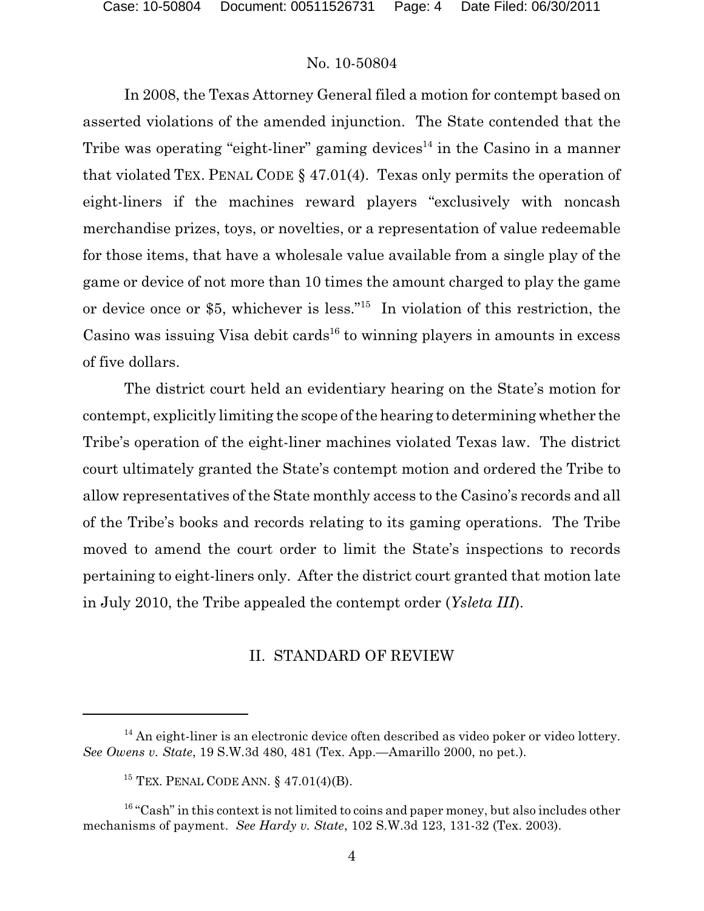In 2008, the Texas Attorney General filed a motion for contempt based on asserted violations of the amended injunction. The State contended that the Tribe was operating "eight-liner" gaming devices<sup>14</sup> in the Casino in a manner that violated TEX. PENAL CODE § 47.01(4). Texas only permits the operation of eight-liners if the machines reward players "exclusively with noncash merchandise prizes, toys, or novelties, or a representation of value redeemable for those items, that have a wholesale value available from a single play of the game or device of not more than 10 times the amount charged to play the game or device once or \$5, whichever is less."<sup>15</sup> In violation of this restriction, the Casino was issuing Visa debit cards<sup> $16$ </sup> to winning players in amounts in excess of five dollars.

The district court held an evidentiary hearing on the State's motion for contempt, explicitly limiting the scope of the hearing to determining whether the Tribe's operation of the eight-liner machines violated Texas law. The district court ultimately granted the State's contempt motion and ordered the Tribe to allow representatives of the State monthly access to the Casino's records and all of the Tribe's books and records relating to its gaming operations. The Tribe moved to amend the court order to limit the State's inspections to records pertaining to eight-liners only. After the district court granted that motion late in July 2010, the Tribe appealed the contempt order (*Ysleta III*).

### II. STANDARD OF REVIEW

 $14$  An eight-liner is an electronic device often described as video poker or video lottery. *See Owens v. State*, 19 S.W.3d 480, 481 (Tex. App.—Amarillo 2000, no pet.).

 $15$  TEX. PENAL CODE ANN. § 47.01(4)(B).

 $16$  "Cash" in this context is not limited to coins and paper money, but also includes other mechanisms of payment. *See Hardy v. State*, 102 S.W.3d 123, 131-32 (Tex. 2003).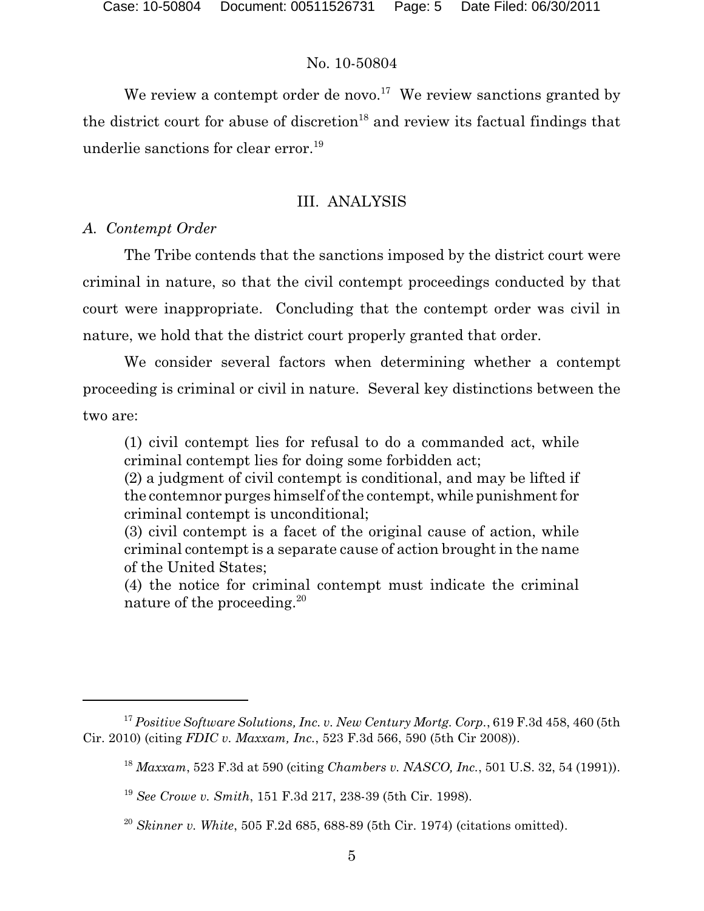We review a contempt order de novo.<sup>17</sup> We review sanctions granted by the district court for abuse of discretion<sup>18</sup> and review its factual findings that underlie sanctions for clear error.<sup>19</sup>

# III. ANALYSIS

# *A. Contempt Order*

The Tribe contends that the sanctions imposed by the district court were criminal in nature, so that the civil contempt proceedings conducted by that court were inappropriate. Concluding that the contempt order was civil in nature, we hold that the district court properly granted that order.

We consider several factors when determining whether a contempt proceeding is criminal or civil in nature. Several key distinctions between the two are:

(1) civil contempt lies for refusal to do a commanded act, while criminal contempt lies for doing some forbidden act;

(2) a judgment of civil contempt is conditional, and may be lifted if the contemnor purges himself of the contempt, while punishment for criminal contempt is unconditional;

(3) civil contempt is a facet of the original cause of action, while criminal contempt is a separate cause of action brought in the name of the United States;

(4) the notice for criminal contempt must indicate the criminal nature of the proceeding.<sup>20</sup>

*Positive Software Solutions, Inc. v. New Century Mortg. Corp.*, 619 F.3d 458, 460 (5th 17 Cir. 2010) (citing *FDIC v. Maxxam, Inc.*, 523 F.3d 566, 590 (5th Cir 2008)).

*Maxxam*, 523 F.3d at 590 (citing *Chambers v. NASCO, Inc.*, 501 U.S. 32, 54 (1991)). 18

<sup>&</sup>lt;sup>19</sup> See Crowe v. Smith, 151 F.3d 217, 238-39 (5th Cir. 1998).

*Skinner v. White*, 505 F.2d 685, 688-89 (5th Cir. 1974) (citations omitted). 20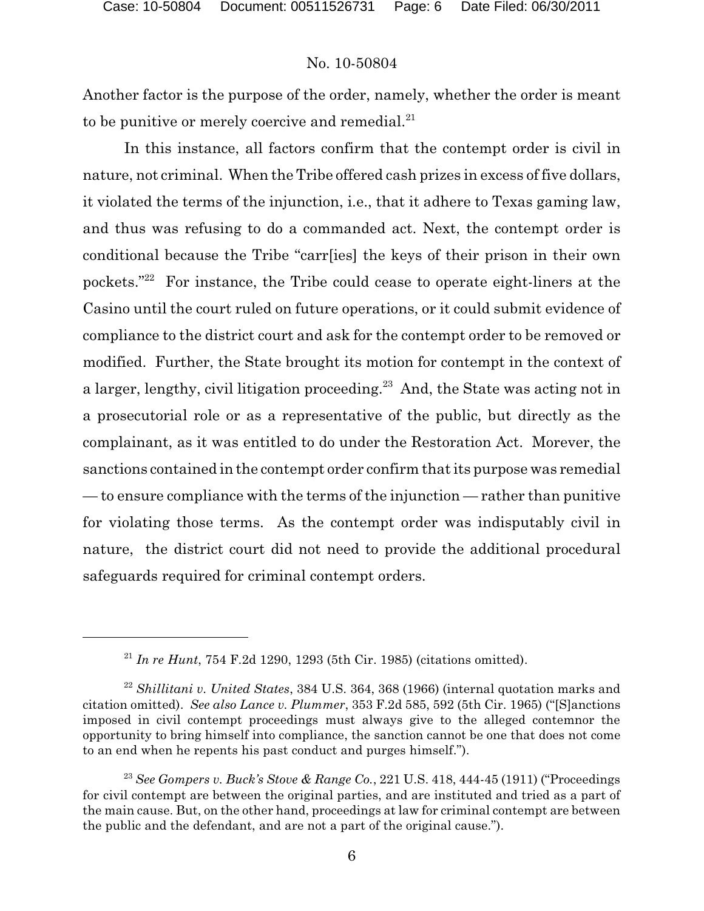Another factor is the purpose of the order, namely, whether the order is meant to be punitive or merely coercive and remedial. $21$ 

In this instance, all factors confirm that the contempt order is civil in nature, not criminal. When the Tribe offered cash prizes in excess of five dollars, it violated the terms of the injunction, i.e., that it adhere to Texas gaming law, and thus was refusing to do a commanded act. Next, the contempt order is conditional because the Tribe "carr[ies] the keys of their prison in their own pockets." $22$  For instance, the Tribe could cease to operate eight-liners at the Casino until the court ruled on future operations, or it could submit evidence of compliance to the district court and ask for the contempt order to be removed or modified. Further, the State brought its motion for contempt in the context of a larger, lengthy, civil litigation proceeding.<sup>23</sup> And, the State was acting not in a prosecutorial role or as a representative of the public, but directly as the complainant, as it was entitled to do under the Restoration Act. Morever, the sanctions contained in the contempt order confirm that its purpose was remedial — to ensure compliance with the terms of the injunction — rather than punitive for violating those terms. As the contempt order was indisputably civil in nature, the district court did not need to provide the additional procedural safeguards required for criminal contempt orders.

<sup>&</sup>lt;sup>21</sup> In re Hunt, 754 F.2d 1290, 1293 (5th Cir. 1985) (citations omitted).

<sup>&</sup>lt;sup>22</sup> Shillitani v. United States, 384 U.S. 364, 368 (1966) (internal quotation marks and citation omitted). *See also Lance v. Plummer*, 353 F.2d 585, 592 (5th Cir. 1965) ("[S]anctions imposed in civil contempt proceedings must always give to the alleged contemnor the opportunity to bring himself into compliance, the sanction cannot be one that does not come to an end when he repents his past conduct and purges himself.").

*See Gompers v. Buck's Stove & Range Co.*, 221 U.S. 418, 444-45 (1911) ("Proceedings <sup>23</sup> for civil contempt are between the original parties, and are instituted and tried as a part of the main cause. But, on the other hand, proceedings at law for criminal contempt are between the public and the defendant, and are not a part of the original cause.").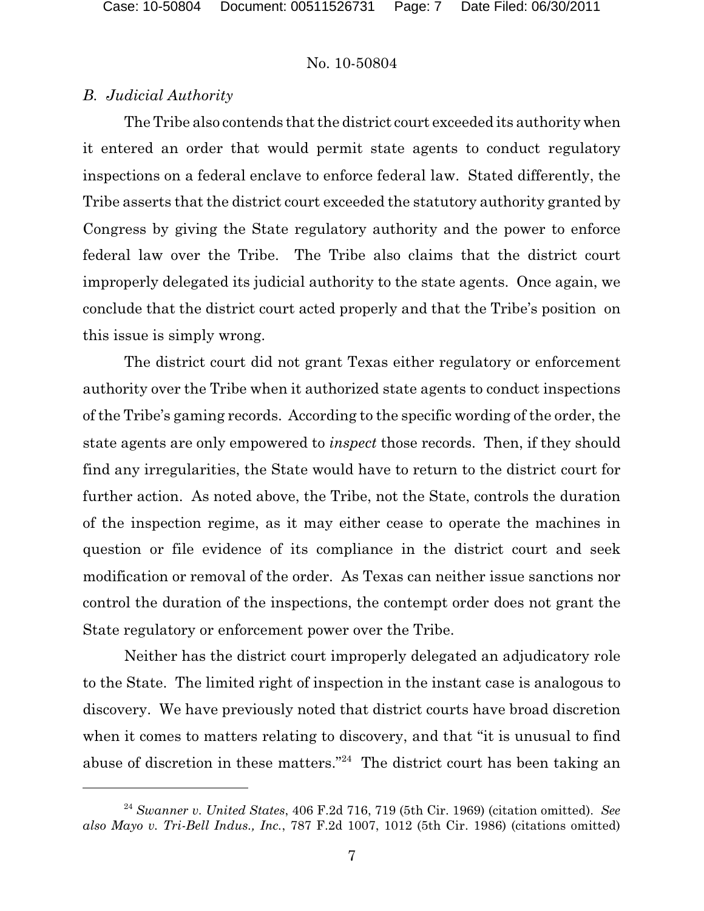# *B. Judicial Authority*

The Tribe also contends that the district court exceeded its authority when it entered an order that would permit state agents to conduct regulatory inspections on a federal enclave to enforce federal law. Stated differently, the Tribe asserts that the district court exceeded the statutory authority granted by Congress by giving the State regulatory authority and the power to enforce federal law over the Tribe. The Tribe also claims that the district court improperly delegated its judicial authority to the state agents. Once again, we conclude that the district court acted properly and that the Tribe's position on this issue is simply wrong.

The district court did not grant Texas either regulatory or enforcement authority over the Tribe when it authorized state agents to conduct inspections of the Tribe's gaming records. According to the specific wording of the order, the state agents are only empowered to *inspect* those records. Then, if they should find any irregularities, the State would have to return to the district court for further action. As noted above, the Tribe, not the State, controls the duration of the inspection regime, as it may either cease to operate the machines in question or file evidence of its compliance in the district court and seek modification or removal of the order. As Texas can neither issue sanctions nor control the duration of the inspections, the contempt order does not grant the State regulatory or enforcement power over the Tribe.

Neither has the district court improperly delegated an adjudicatory role to the State. The limited right of inspection in the instant case is analogous to discovery. We have previously noted that district courts have broad discretion when it comes to matters relating to discovery, and that "it is unusual to find abuse of discretion in these matters."<sup>24</sup> The district court has been taking an

<sup>&</sup>lt;sup>24</sup> Swanner v. United States, 406 F.2d 716, 719 (5th Cir. 1969) (citation omitted). See *also Mayo v. Tri-Bell Indus., Inc.*, 787 F.2d 1007, 1012 (5th Cir. 1986) (citations omitted)